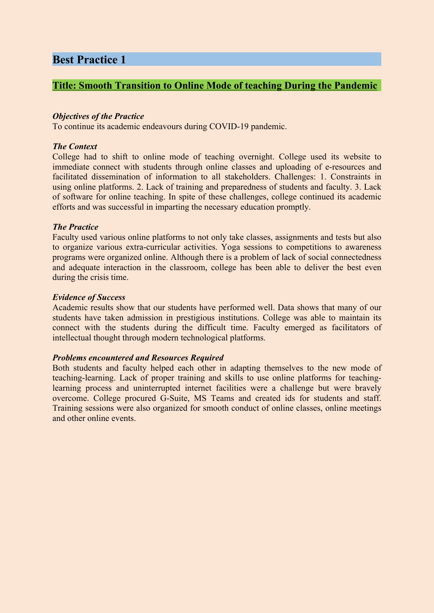# **Best Practice 1**

## **Title: Smooth Transition to Online Mode of teaching During the Pandemic**

### *Objectives of the Practice*

To continue its academic endeavours during COVID-19 pandemic.

### *The Context*

College had to shift to online mode of teaching overnight. College used its website to immediate connect with students through online classes and uploading of e-resources and facilitated dissemination of information to all stakeholders. Challenges: 1. Constraints in using online platforms. 2. Lack of training and preparedness of students and faculty. 3. Lack of software for online teaching. In spite of these challenges, college continued its academic efforts and was successful in imparting the necessary education promptly.

### *The Practice*

Faculty used various online platforms to not only take classes, assignments and tests but also to organize various extra-curricular activities. Yoga sessions to competitions to awareness programs were organized online. Although there is a problem of lack of social connectedness and adequate interaction in the classroom, college has been able to deliver the best even during the crisis time.

### *Evidence of Success*

Academic results show that our students have performed well. Data shows that many of our students have taken admission in prestigious institutions. College was able to maintain its connect with the students during the difficult time. Faculty emerged as facilitators of intellectual thought through modern technological platforms.

### *Problems encountered and Resources Required*

Both students and faculty helped each other in adapting themselves to the new mode of teaching-learning. Lack of proper training and skills to use online platforms for teachinglearning process and uninterrupted internet facilities were a challenge but were bravely overcome. College procured G-Suite, MS Teams and created ids for students and staff. Training sessions were also organized for smooth conduct of online classes, online meetings and other online events.